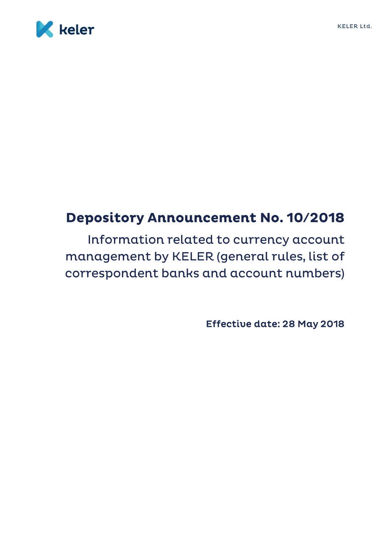

# **Depository Announcement No. 10/2018**

Information related to currency account management by KELER (general rules, list of correspondent banks and account numbers)

Effective date: 28 May 2018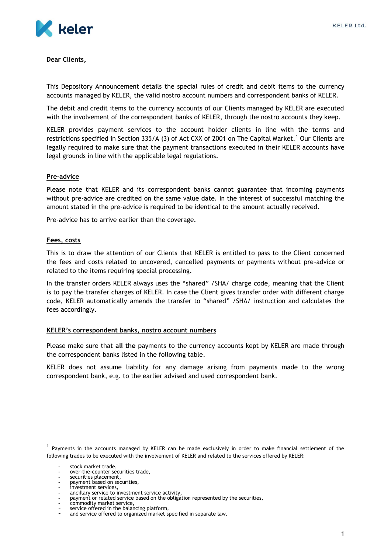

**Dear Clients,**

This Depository Announcement details the special rules of credit and debit items to the currency accounts managed by KELER, the valid nostro account numbers and correspondent banks of KELER.

The debit and credit items to the currency accounts of our Clients managed by KELER are executed with the involvement of the correspondent banks of KELER, through the nostro accounts they keep.

KELER provides payment services to the account holder clients in line with the terms and restrictions specified in Section 335/A (3) of Act CXX of 2001 on The Capital Market.<sup>1</sup> Our Clients are legally required to make sure that the payment transactions executed in their KELER accounts have legal grounds in line with the applicable legal regulations.

### **Pre-advice**

Please note that KELER and its correspondent banks cannot guarantee that incoming payments without pre-advice are credited on the same value date. In the interest of successful matching the amount stated in the pre-advice is required to be identical to the amount actually received.

Pre-advice has to arrive earlier than the coverage.

### **Fees, costs**

This is to draw the attention of our Clients that KELER is entitled to pass to the Client concerned the fees and costs related to uncovered, cancelled payments or payments without pre-advice or related to the items requiring special processing.

In the transfer orders KELER always uses the "shared" /SHA/ charge code, meaning that the Client is to pay the transfer charges of KELER. In case the Client gives transfer order with different charge code, KELER automatically amends the transfer to "shared" /SHA/ instruction and calculates the fees accordingly.

## **KELER's correspondent banks, nostro account numbers**

Please make sure that **all the** payments to the currency accounts kept by KELER are made through the correspondent banks listed in the following table.

KELER does not assume liability for any damage arising from payments made to the wrong correspondent bank, e.g. to the earlier advised and used correspondent bank.

l

<sup>&</sup>lt;sup>1</sup> Payments in the accounts managed by KELER can be made exclusively in order to make financial settlement of the following trades to be executed with the involvement of KELER and related to the services offered by KELER:

stock market trade.

over-the-counter securities trade,

<sup>-</sup> securities placement,

<sup>-</sup> payment based on securities, investment services,

ancillary service to investment service activity,

payment or related service based on the obligation represented by the securities,

commodity market service,

service offered in the balancing platform, and service offered to organized market specified in separate law.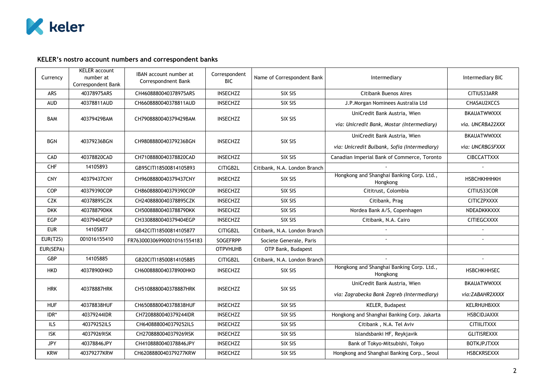

# **KELER's nostro account numbers and correspondent banks**

| Currency   | <b>KELER</b> account<br>number at<br>Correspondent Bank | IBAN account number at<br>Correspondnent Bank | Correspondent<br><b>BIC</b> | Name of Correspondent Bank   | Intermediary                                          | Intermediary BIC   |
|------------|---------------------------------------------------------|-----------------------------------------------|-----------------------------|------------------------------|-------------------------------------------------------|--------------------|
| ARS        | 40378975ARS                                             | CH4608880040378975ARS                         | <b>INSECHZZ</b>             | SIX SIS                      | <b>Citibank Buenos Aires</b>                          | CITIUS33ARR        |
| <b>AUD</b> | 40378811AUD                                             | CH6608880040378811AUD                         | <b>INSECHZZ</b>             | SIX SIS                      | J.P.Morgan Nominees Australia Ltd                     | CHASAU2XCCS        |
| <b>BAM</b> | 40379429BAM                                             | CH7908880040379429BAM                         | <b>INSECHZZ</b>             | SIX SIS                      | UniCredit Bank Austria, Wien                          | <b>BKAUATWWXXX</b> |
|            |                                                         |                                               |                             |                              | via: Unicredit Bank, Mostar (Intermediary)            | via. UNCRBA22XXX   |
| <b>BGN</b> | 40379236BGN                                             | CH9808880040379236BGN                         | <b>INSECHZZ</b>             | SIX SIS                      | UniCredit Bank Austria, Wien                          | <b>BKAUATWWXXX</b> |
|            |                                                         |                                               |                             |                              | via: Unicredit Bulbank, Sofia (Intermediary)          | via: UNCRBGSFXXX   |
| CAD        | 40378820CAD                                             | CH7108880040378820CAD                         | <b>INSECHZZ</b>             | SIX SIS                      | Canadian Imperial Bank of Commerce, Toronto           | <b>CIBCCATTXXX</b> |
| CHF        | 14105893                                                | GB95CITI18500814105893                        | CITIGB2L                    | Citibank, N.A. London Branch |                                                       |                    |
| <b>CNY</b> | 40379437CNY                                             | CH9608880040379437CNY                         | <b>INSECHZZ</b>             | SIX SIS                      | Hongkong and Shanghai Banking Corp. Ltd.,<br>Hongkong | <b>НЅВСНКНННКН</b> |
| <b>COP</b> | 40379390COP                                             | CH8608880040379390COP                         | <b>INSECHZZ</b>             | SIX SIS                      | Cititrust, Colombia                                   | CITIUS33COR        |
| <b>CZK</b> | 40378895CZK                                             | CH2408880040378895CZK                         | <b>INSECHZZ</b>             | SIX SIS                      | Citibank, Prag                                        | <b>CITICZPXXXX</b> |
| <b>DKK</b> | 40378879DKK                                             | CH5008880040378879DKK                         | <b>INSECHZZ</b>             | SIX SIS                      | Nordea Bank A/S, Copenhagen                           | NDEADKKKXXX        |
| EGP        | 40379404EGP                                             | CH3308880040379404EGP                         | <b>INSECHZZ</b>             | SIX SIS                      | Citibank, N.A. Cairo                                  | CITIEGCXXXX        |
| <b>EUR</b> | 14105877                                                | GB42CITI18500814105877                        | CITIGB2L                    | Citibank, N.A. London Branch |                                                       |                    |
| EUR(T2S)   | 001016155410                                            | FR7630003069900010161554183                   | <b>SOGEFRPP</b>             | Societe Generale, Paris      |                                                       |                    |
| EUR(SEPA)  |                                                         |                                               | <b>OTPVHUHB</b>             | OTP Bank, Budapest           |                                                       |                    |
| GBP        | 14105885                                                | GB20CITI18500814105885                        | CITIGB2L                    | Citibank, N.A. London Branch |                                                       |                    |
| <b>HKD</b> | 40378900HKD                                             | CH6008880040378900HKD                         | <b>INSECHZZ</b>             | SIX SIS                      | Hongkong and Shanghai Banking Corp. Ltd.,<br>Hongkong | <b>HSBCHKHHSEC</b> |
| <b>HRK</b> | 40378887HRK                                             | CH5108880040378887HRK                         | <b>INSECHZZ</b>             | SIX SIS                      | UniCredit Bank Austria, Wien                          | BKAUATWWXXX        |
|            |                                                         |                                               |                             |                              | via: Zagrabecka Bank Zagreb (Intermediary)            | via:ZABAHR2XXXX    |
| <b>HUF</b> | 40378838HUF                                             | CH6508880040378838HUF                         | <b>INSECHZZ</b>             | SIX SIS                      | KELER, Budapest                                       | <b>KELRHUHBXXX</b> |
| IDR*       | 40379244IDR                                             | CH7208880040379244IDR                         | <b>INSECHZZ</b>             | SIX SIS                      | Hongkong and Shanghai Banking Corp. Jakarta           | <b>HSBCIDJAXXX</b> |
| ILS        | 40379252ILS                                             | CH6408880040379252ILS                         | <b>INSECHZZ</b>             | SIX SIS                      | Citibank, N.A. Tel Aviv                               | <b>CITIILITXXX</b> |
| <b>ISK</b> | 40379269ISK                                             | CH2708880040379269ISK                         | <b>INSECHZZ</b>             | SIX SIS                      | Islandsbanki HF, Reykjavik                            | <b>GLITISREXXX</b> |
| <b>JPY</b> | 40378846JPY                                             | CH4108880040378846JPY                         | <b>INSECHZZ</b>             | SIX SIS                      | Bank of Tokyo-Mitsubishi, Tokyo                       | <b>BOTKJPJTXXX</b> |
| <b>KRW</b> | 40379277KRW                                             | CH6208880040379277KRW                         | <b>INSECHZZ</b>             | SIX SIS                      | Hongkong and Shanghai Banking Corp., Seoul            | <b>HSBCKRSEXXX</b> |